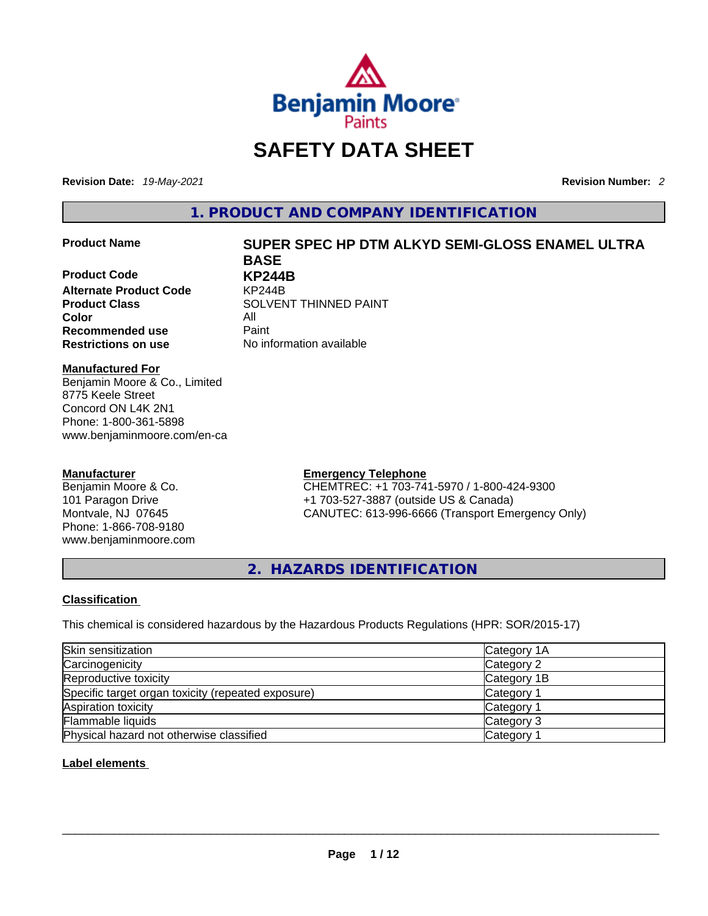

# **SAFETY DATA SHEET**

**Revision Date:** *19-May-2021* **Revision Number:** *2*

**1. PRODUCT AND COMPANY IDENTIFICATION** 

**Product Code KP244B Alternate Product Code** KP244B **Color** All<br> **Recommended use** Paint **Recommended use**<br>**Restrictions on use** 

### **Product Name SUPER SPEC HP DTM ALKYD SEMI-GLOSS ENAMEL ULTRA BASE**

**Product Class SOLVENT THINNED PAINT No information available** 

#### **Manufactured For**

Benjamin Moore & Co., Limited 8775 Keele Street Concord ON L4K 2N1 Phone: 1-800-361-5898 www.benjaminmoore.com/en-ca

### **Manufacturer**

Benjamin Moore & Co. 101 Paragon Drive Montvale, NJ 07645 Phone: 1-866-708-9180 www.benjaminmoore.com

### **Emergency Telephone**

CHEMTREC: +1 703-741-5970 / 1-800-424-9300 +1 703-527-3887 (outside US & Canada) CANUTEC: 613-996-6666 (Transport Emergency Only)

**2. HAZARDS IDENTIFICATION** 

### **Classification**

This chemical is considered hazardous by the Hazardous Products Regulations (HPR: SOR/2015-17)

| Skin sensitization                                 | Category 1A           |
|----------------------------------------------------|-----------------------|
| Carcinogenicity                                    | Category 2            |
| Reproductive toxicity                              | Category 1B           |
| Specific target organ toxicity (repeated exposure) | Category <sup>2</sup> |
| Aspiration toxicity                                | Category 1            |
| <b>Flammable liquids</b>                           | Category 3            |
| Physical hazard not otherwise classified           | Category 1            |

### **Label elements**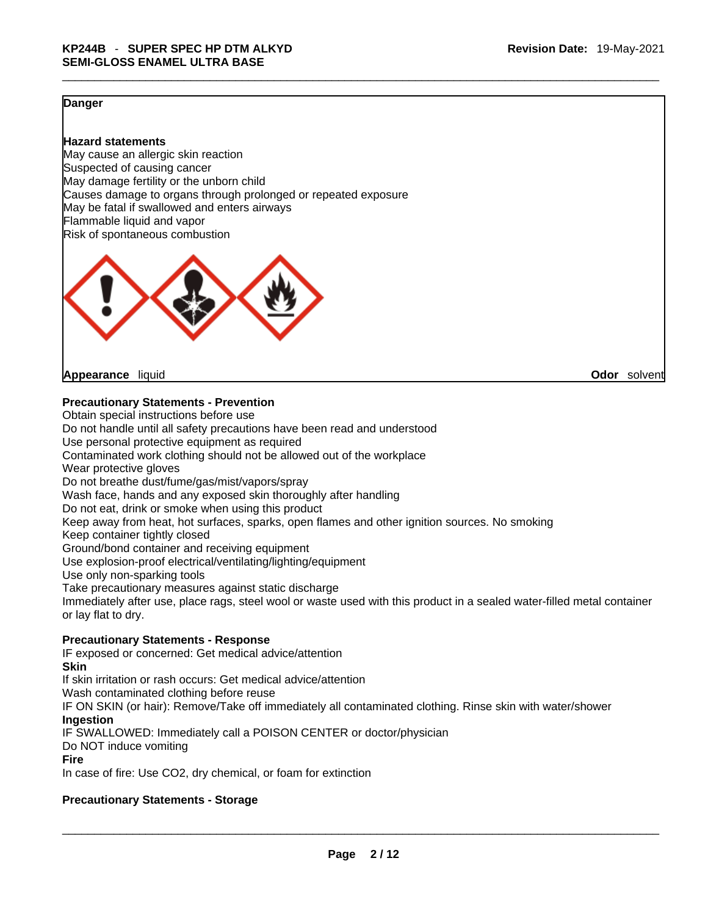#### **Danger**

#### **Hazard statements**

May cause an allergic skin reaction Suspected of causing cancer May damage fertility or the unborn child Causes damage to organs through prolonged or repeated exposure May be fatal if swallowed and enters airways Flammable liquid and vapor Risk of spontaneous combustion



**Appearance** liquid **Odor** solvent

#### **Precautionary Statements - Prevention**

Obtain special instructions before use Do not handle until all safety precautions have been read and understood Use personal protective equipment as required Contaminated work clothing should not be allowed out of the workplace Wear protective gloves Do not breathe dust/fume/gas/mist/vapors/spray Wash face, hands and any exposed skin thoroughly after handling Do not eat, drink or smoke when using this product Keep away from heat, hot surfaces, sparks, open flames and other ignition sources. No smoking Keep container tightly closed Ground/bond container and receiving equipment Use explosion-proof electrical/ventilating/lighting/equipment Use only non-sparking tools Take precautionary measures against static discharge Immediately after use, place rags, steel wool or waste used with this product in a sealed water-filled metal container or lay flat to dry. **Precautionary Statements - Response** IF exposed or concerned: Get medical advice/attention

**Skin**

If skin irritation or rash occurs: Get medical advice/attention

Wash contaminated clothing before reuse

IF ON SKIN (or hair): Remove/Take off immediately all contaminated clothing. Rinse skin with water/shower **Ingestion**

IF SWALLOWED: Immediately call a POISON CENTER or doctor/physician

Do NOT induce vomiting

#### **Fire**

In case of fire: Use CO2, dry chemical, or foam for extinction

#### **Precautionary Statements - Storage**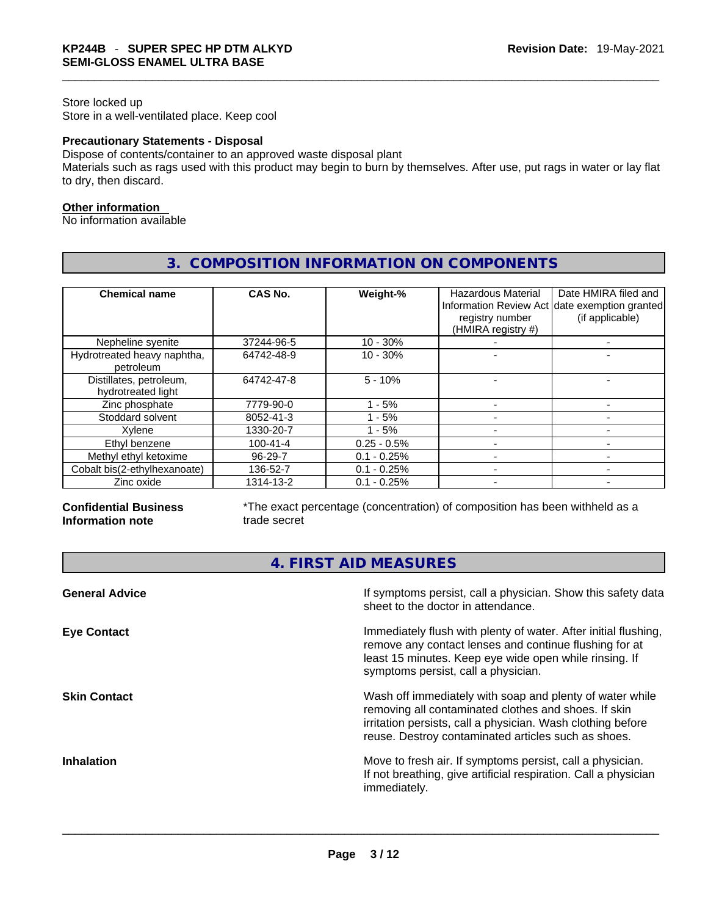### Store locked up Store in a well-ventilated place. Keep cool

#### **Precautionary Statements - Disposal**

Dispose of contents/container to an approved waste disposal plant

Materials such as rags used with this product may begin to burn by themselves. After use, put rags in water or lay flat to dry, then discard.

#### **Other information**

No information available

| <b>Chemical name</b>                          | CAS No.        | Weight-%      | Hazardous Material<br>registry number<br>(HMIRA registry #) | Date HMIRA filed and<br>Information Review Act date exemption granted<br>(if applicable) |
|-----------------------------------------------|----------------|---------------|-------------------------------------------------------------|------------------------------------------------------------------------------------------|
| Nepheline syenite                             | 37244-96-5     | $10 - 30%$    |                                                             |                                                                                          |
| Hydrotreated heavy naphtha,<br>petroleum      | 64742-48-9     | $10 - 30%$    |                                                             |                                                                                          |
| Distillates, petroleum,<br>hydrotreated light | 64742-47-8     | $5 - 10%$     |                                                             |                                                                                          |
| Zinc phosphate                                | 7779-90-0      | $1 - 5%$      |                                                             |                                                                                          |
| Stoddard solvent                              | 8052-41-3      | - 5%          |                                                             |                                                                                          |
| Xvlene                                        | 1330-20-7      | $1 - 5%$      |                                                             |                                                                                          |
| Ethyl benzene                                 | $100 - 41 - 4$ | $0.25 - 0.5%$ |                                                             |                                                                                          |
| Methyl ethyl ketoxime                         | 96-29-7        | $0.1 - 0.25%$ |                                                             |                                                                                          |
| Cobalt bis(2-ethylhexanoate)                  | 136-52-7       | $0.1 - 0.25%$ |                                                             |                                                                                          |
| Zinc oxide                                    | 1314-13-2      | $0.1 - 0.25%$ |                                                             |                                                                                          |

## **3. COMPOSITION INFORMATION ON COMPONENTS**

#### **Confidential Business Information note**

\*The exact percentage (concentration) of composition has been withheld as a trade secret

## **4. FIRST AID MEASURES**

| <b>General Advice</b> | If symptoms persist, call a physician. Show this safety data<br>sheet to the doctor in attendance.                                                                                                                                     |
|-----------------------|----------------------------------------------------------------------------------------------------------------------------------------------------------------------------------------------------------------------------------------|
| <b>Eye Contact</b>    | Immediately flush with plenty of water. After initial flushing,<br>remove any contact lenses and continue flushing for at<br>least 15 minutes. Keep eye wide open while rinsing. If<br>symptoms persist, call a physician.             |
| <b>Skin Contact</b>   | Wash off immediately with soap and plenty of water while<br>removing all contaminated clothes and shoes. If skin<br>irritation persists, call a physician. Wash clothing before<br>reuse. Destroy contaminated articles such as shoes. |
| <b>Inhalation</b>     | Move to fresh air. If symptoms persist, call a physician.<br>If not breathing, give artificial respiration. Call a physician<br>immediately.                                                                                           |
|                       |                                                                                                                                                                                                                                        |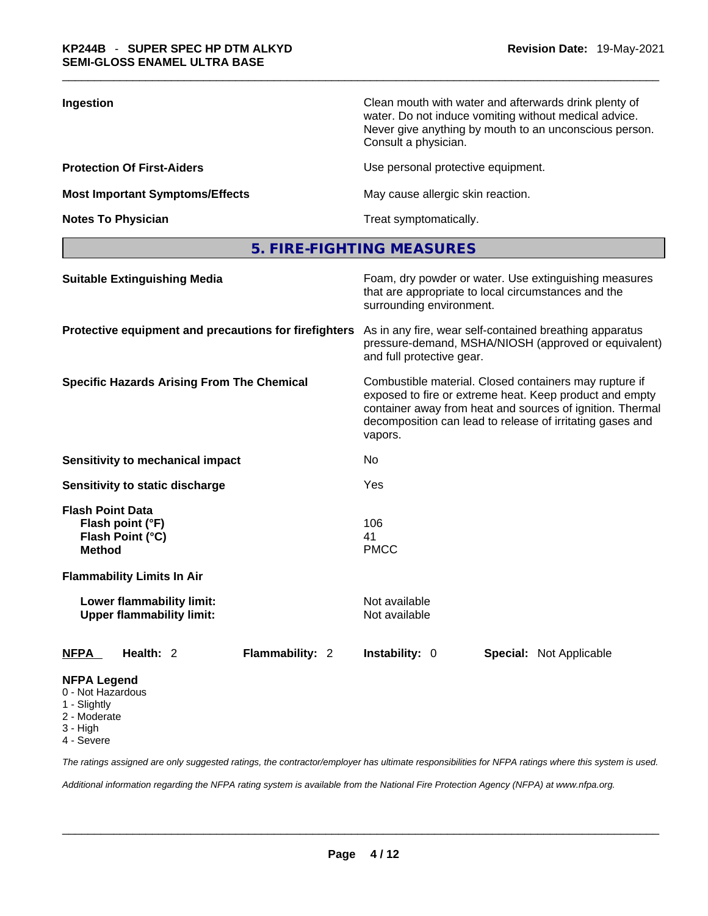| Ingestion                              | Clean mouth with water and afterwards drink plenty of<br>water. Do not induce vomiting without medical advice.<br>Never give anything by mouth to an unconscious person.<br>Consult a physician. |
|----------------------------------------|--------------------------------------------------------------------------------------------------------------------------------------------------------------------------------------------------|
| <b>Protection Of First-Aiders</b>      | Use personal protective equipment.                                                                                                                                                               |
| <b>Most Important Symptoms/Effects</b> | May cause allergic skin reaction.                                                                                                                                                                |
| <b>Notes To Physician</b>              | Treat symptomatically.                                                                                                                                                                           |

**5. FIRE-FIGHTING MEASURES** 

| <b>Suitable Extinguishing Media</b>                                                               | Foam, dry powder or water. Use extinguishing measures<br>that are appropriate to local circumstances and the<br>surrounding environment.                                                                                                               |  |  |  |
|---------------------------------------------------------------------------------------------------|--------------------------------------------------------------------------------------------------------------------------------------------------------------------------------------------------------------------------------------------------------|--|--|--|
| Protective equipment and precautions for firefighters                                             | As in any fire, wear self-contained breathing apparatus<br>pressure-demand, MSHA/NIOSH (approved or equivalent)<br>and full protective gear.                                                                                                           |  |  |  |
| <b>Specific Hazards Arising From The Chemical</b>                                                 | Combustible material. Closed containers may rupture if<br>exposed to fire or extreme heat. Keep product and empty<br>container away from heat and sources of ignition. Thermal<br>decomposition can lead to release of irritating gases and<br>vapors. |  |  |  |
| <b>Sensitivity to mechanical impact</b>                                                           | No                                                                                                                                                                                                                                                     |  |  |  |
| Sensitivity to static discharge                                                                   | Yes                                                                                                                                                                                                                                                    |  |  |  |
| <b>Flash Point Data</b><br>Flash point (°F)<br>Flash Point (°C)<br><b>Method</b>                  | 106<br>41<br><b>PMCC</b>                                                                                                                                                                                                                               |  |  |  |
| <b>Flammability Limits In Air</b>                                                                 |                                                                                                                                                                                                                                                        |  |  |  |
| Lower flammability limit:<br><b>Upper flammability limit:</b>                                     | Not available<br>Not available                                                                                                                                                                                                                         |  |  |  |
| Health: 2<br>Flammability: 2<br><b>NFPA</b>                                                       | <b>Instability: 0</b><br><b>Special: Not Applicable</b>                                                                                                                                                                                                |  |  |  |
| <b>NFPA Legend</b><br>0 - Not Hazardous<br>1 - Slightly<br>2 - Moderate<br>3 - High<br>4 - Severe |                                                                                                                                                                                                                                                        |  |  |  |
|                                                                                                   | The ratings assigned are only suggested ratings, the contractor/employer has ultimate responsibilities for NFPA ratings where this system is used.                                                                                                     |  |  |  |

*Additional information regarding the NFPA rating system is available from the National Fire Protection Agency (NFPA) at www.nfpa.org.*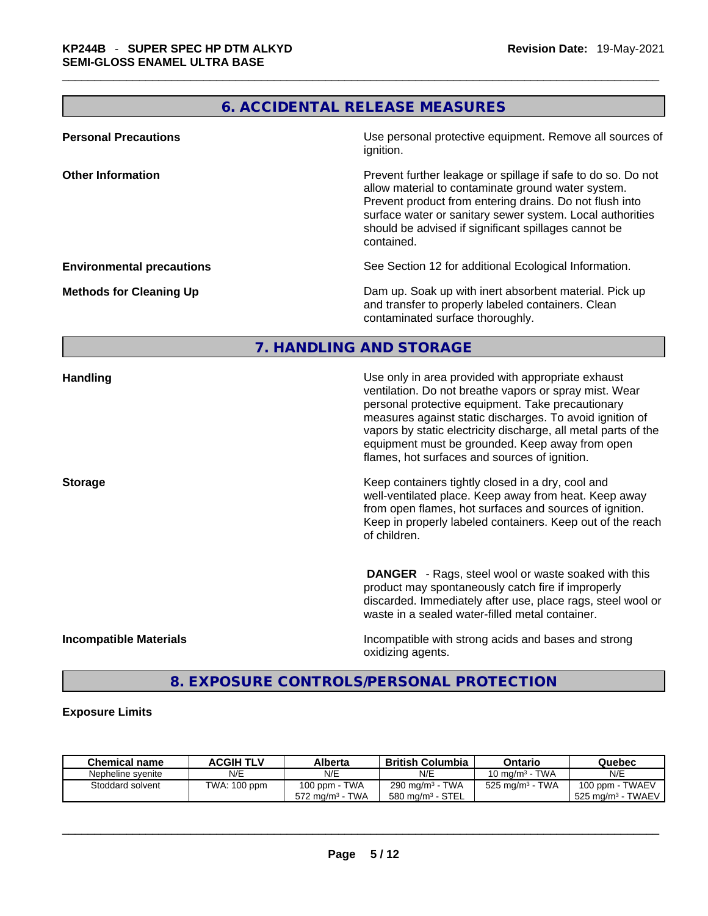## **6. ACCIDENTAL RELEASE MEASURES**

| <b>Personal Precautions</b>      | Use personal protective equipment. Remove all sources of<br>ignition.                                                                                                                                                                                                                                            |
|----------------------------------|------------------------------------------------------------------------------------------------------------------------------------------------------------------------------------------------------------------------------------------------------------------------------------------------------------------|
| <b>Other Information</b>         | Prevent further leakage or spillage if safe to do so. Do not<br>allow material to contaminate ground water system.<br>Prevent product from entering drains. Do not flush into<br>surface water or sanitary sewer system. Local authorities<br>should be advised if significant spillages cannot be<br>contained. |
| <b>Environmental precautions</b> | See Section 12 for additional Ecological Information.                                                                                                                                                                                                                                                            |
| <b>Methods for Cleaning Up</b>   | Dam up. Soak up with inert absorbent material. Pick up<br>and transfer to properly labeled containers. Clean<br>contaminated surface thoroughly.                                                                                                                                                                 |

## **7. HANDLING AND STORAGE**

| Handling                      | Use only in area provided with appropriate exhaust<br>ventilation. Do not breathe vapors or spray mist. Wear<br>personal protective equipment. Take precautionary<br>measures against static discharges. To avoid ignition of<br>vapors by static electricity discharge, all metal parts of the<br>equipment must be grounded. Keep away from open<br>flames, hot surfaces and sources of ignition. |
|-------------------------------|-----------------------------------------------------------------------------------------------------------------------------------------------------------------------------------------------------------------------------------------------------------------------------------------------------------------------------------------------------------------------------------------------------|
| <b>Storage</b>                | Keep containers tightly closed in a dry, cool and<br>well-ventilated place. Keep away from heat. Keep away<br>from open flames, hot surfaces and sources of ignition.<br>Keep in properly labeled containers. Keep out of the reach<br>of children.                                                                                                                                                 |
|                               | <b>DANGER</b> - Rags, steel wool or waste soaked with this<br>product may spontaneously catch fire if improperly<br>discarded. Immediately after use, place rags, steel wool or<br>waste in a sealed water-filled metal container.                                                                                                                                                                  |
| <b>Incompatible Materials</b> | Incompatible with strong acids and bases and strong<br>oxidizing agents.                                                                                                                                                                                                                                                                                                                            |

**8. EXPOSURE CONTROLS/PERSONAL PROTECTION** 

### **Exposure Limits**

| <b>Chemical name</b> | ACGIH TLV    | Alberta                     | <b>British Columbia</b>      | Ontario                     | Quebec                          |
|----------------------|--------------|-----------------------------|------------------------------|-----------------------------|---------------------------------|
| Nepheline syenite    | N/E          | N/E                         | N/E                          | 10 mg/m $3$ - TWA           | N/E                             |
| Stoddard solvent     | TWA: 100 ppm | 100 ppm - TWA               | 290 ma/m3 - TWA              | 525 mg/m <sup>3</sup> - TWA | 100 ppm - TWAEV                 |
|                      |              | 572 mg/m <sup>3</sup> - TWA | 580 ma/m <sup>3</sup> - STEL |                             | l 525 ma/m <sup>3</sup> - TWAEV |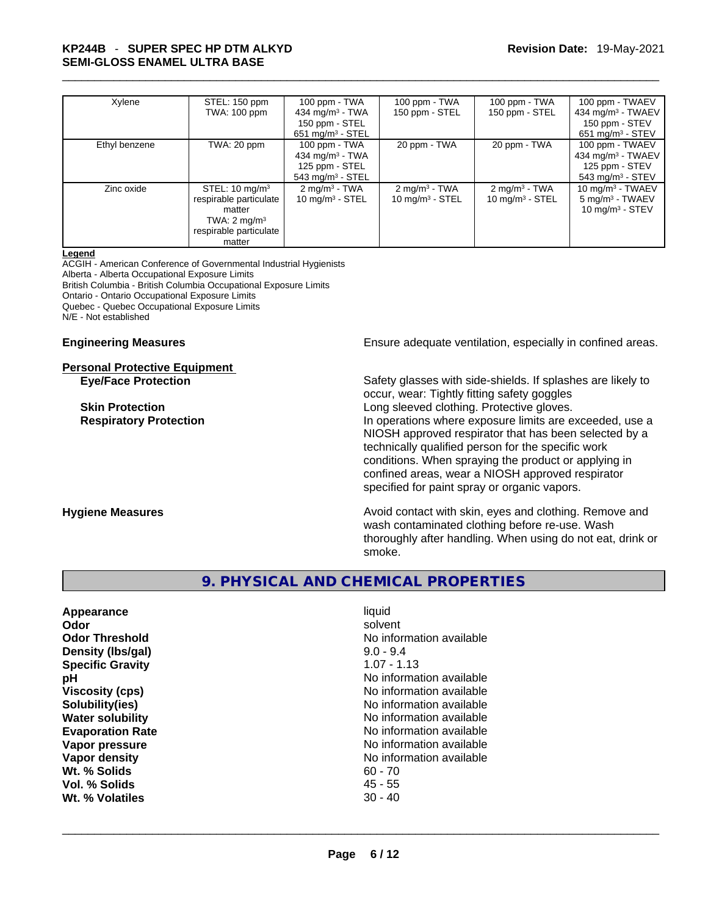## \_\_\_\_\_\_\_\_\_\_\_\_\_\_\_\_\_\_\_\_\_\_\_\_\_\_\_\_\_\_\_\_\_\_\_\_\_\_\_\_\_\_\_\_\_\_\_\_\_\_\_\_\_\_\_\_\_\_\_\_\_\_\_\_\_\_\_\_\_\_\_\_\_\_\_\_\_\_\_\_\_\_\_\_\_\_\_\_\_\_\_\_\_ **KP244B** - **SUPER SPEC HP DTM ALKYD SEMI-GLOSS ENAMEL ULTRA BASE**

| Xylene        | STEL: 150 ppm<br>TWA: 100 ppm                                                                                                | 100 ppm - TWA<br>434 mg/m $3 - TWA$<br>150 ppm - STEL                                                                     | 100 ppm - TWA<br>150 ppm - STEL               | 100 ppm - TWA<br>150 ppm - STEL                        | 100 ppm - TWAEV<br>434 mg/m $3$ - TWAEV<br>150 ppm - STEV                                                                              |
|---------------|------------------------------------------------------------------------------------------------------------------------------|---------------------------------------------------------------------------------------------------------------------------|-----------------------------------------------|--------------------------------------------------------|----------------------------------------------------------------------------------------------------------------------------------------|
| Ethyl benzene | TWA: 20 ppm                                                                                                                  | $651$ mg/m <sup>3</sup> - STEL<br>100 ppm - TWA<br>434 mg/m $3$ - TWA<br>125 ppm - STEL<br>$543$ mg/m <sup>3</sup> - STEL | 20 ppm - TWA                                  | 20 ppm - TWA                                           | $651$ mg/m <sup>3</sup> - STEV<br>100 ppm - TWAEV<br>434 mg/m <sup>3</sup> - TWAEV<br>125 ppm - STEV<br>$543$ mg/m <sup>3</sup> - STEV |
| Zinc oxide    | STEL: $10 \text{ mg/m}^3$<br>respirable particulate<br>matter<br>TWA: $2 \text{ mg/m}^3$<br>respirable particulate<br>matter | $2 \text{ mg/m}^3$ - TWA<br>10 mg/m $3 -$ STEL                                                                            | $2 \text{mq/m}^3$ - TWA<br>10 mg/m $3 -$ STEL | $2 \text{ mg/m}^3$ - TWA<br>$10 \text{ mg/m}^3$ - STEL | $10 \text{ mg/m}^3$ - TWAEV<br>$5 \text{ mg/m}^3$ - TWAEV<br>10 mg/m $3 -$ STEV                                                        |

#### **Legend**

ACGIH - American Conference of Governmental Industrial Hygienists Alberta - Alberta Occupational Exposure Limits British Columbia - British Columbia Occupational Exposure Limits Ontario - Ontario Occupational Exposure Limits Quebec - Quebec Occupational Exposure Limits N/E - Not established

#### **Personal Protective Equipment**

**Engineering Measures Ensure 2018** Ensure adequate ventilation, especially in confined areas.

**Eye/Face Protection** Safety glasses with side-shields. If splashes are likely to occur, wear: Tightly fitting safety goggles **Skin Protection** Long sleeved clothing. Protective gloves. **Respiratory Protection In operations where exposure limits are exceeded, use a** NIOSH approved respirator that has been selected by a technically qualified person for the specific work conditions. When spraying the product or applying in confined areas, wear a NIOSH approved respirator specified for paint spray or organic vapors.

**Hygiene Measures Avoid contact with skin, eyes and clothing. Remove and Avoid contact with skin, eyes and clothing. Remove and Avoid contact with skin, eyes and clothing. Remove and** wash contaminated clothing before re-use. Wash thoroughly after handling. When using do not eat, drink or smoke.

### **9. PHYSICAL AND CHEMICAL PROPERTIES**

| Appearance              | liquid                   |
|-------------------------|--------------------------|
| Odor                    | solvent                  |
| Odor Threshold          | No information available |
| Density (Ibs/gal)       | $9.0 - 9.4$              |
| <b>Specific Gravity</b> | $1.07 - 1.13$            |
| рH                      | No information available |
| <b>Viscosity (cps)</b>  | No information available |
| Solubility(ies)         | No information available |
| Water solubility        | No information available |
| <b>Evaporation Rate</b> | No information available |
| Vapor pressure          | No information available |
| Vapor density           | No information available |
| Wt. % Solids            | $60 - 70$                |
| Vol. % Solids           | $45 - 55$                |
| Wt. % Volatiles         | $30 - 40$                |
|                         |                          |
|                         |                          |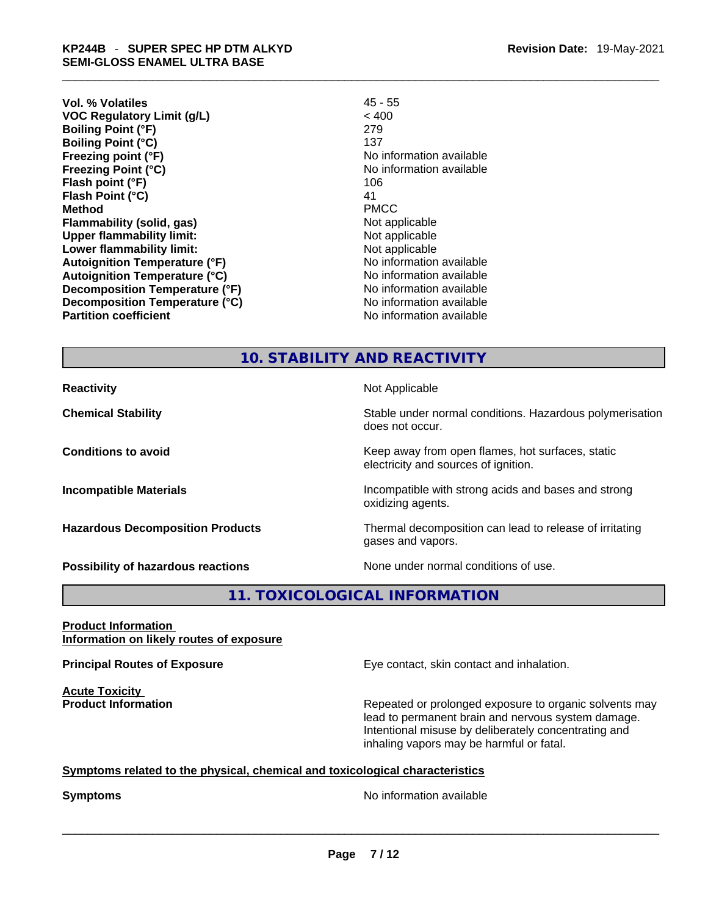**Vol. % Volatiles** 45 - 55 **VOC Regulatory Limit (g/L)** < 400 **Boiling Point (°F)** 279 **Boiling Point (°C)** 137 **Freezing point (°F)** No information available **Freezing Point (°C)** The state of the Monometer of Noinformation available **Flash point (°F)** 106 **Flash Point (°C)** 41 **Method** PMCC **Flammability (solid, gas)** Not applicable **Upper flammability limit:**<br> **Lower flammability limit:**<br>
Not applicable<br>
Not applicable **Lower flammability limit:**<br> **Autoignition Temperature (°F)** Not applicable available **Autoignition Temperature (°F) Autoignition Temperature (°C)** No information available **Decomposition Temperature (°F)** No information available **Decomposition Temperature (°C)** No information available **Partition coefficient Contract Community No information available** 

## **10. STABILITY AND REACTIVITY**

**Reactivity Not Applicable Not Applicable** 

**Chemical Stability Stability** Stable under normal conditions. Hazardous polymerisation

oxidizing agents.

does not occur. **Conditions to avoid Keep away from open flames, hot surfaces, static Conditions to avoid Keep away from open flames**, hot surfaces, static

electricity and sources of ignition. **Incompatible Materials Incompatible with strong acids and bases and strong** 

**Hazardous Decomposition Products** Thermal decomposition can lead to release of irritating gases and vapors.

**Possibility of hazardous reactions** None under normal conditions of use.

## **11. TOXICOLOGICAL INFORMATION**

**Product Information Information on likely routes of exposure**

**Acute Toxicity** 

**Principal Routes of Exposure Exposure** Eye contact, skin contact and inhalation.

**Product Information Repeated or prolonged exposure to organic solvents may** lead to permanent brain and nervous system damage. Intentional misuse by deliberately concentrating and inhaling vapors may be harmful or fatal.

### **Symptoms related to the physical,chemical and toxicological characteristics**

**Symptoms**<br>
No information available<br>
Noting and the set of the set of the set of the set of the set of the set of the set of the set of the set of the set of the set of the set of the set of the set of the set of the set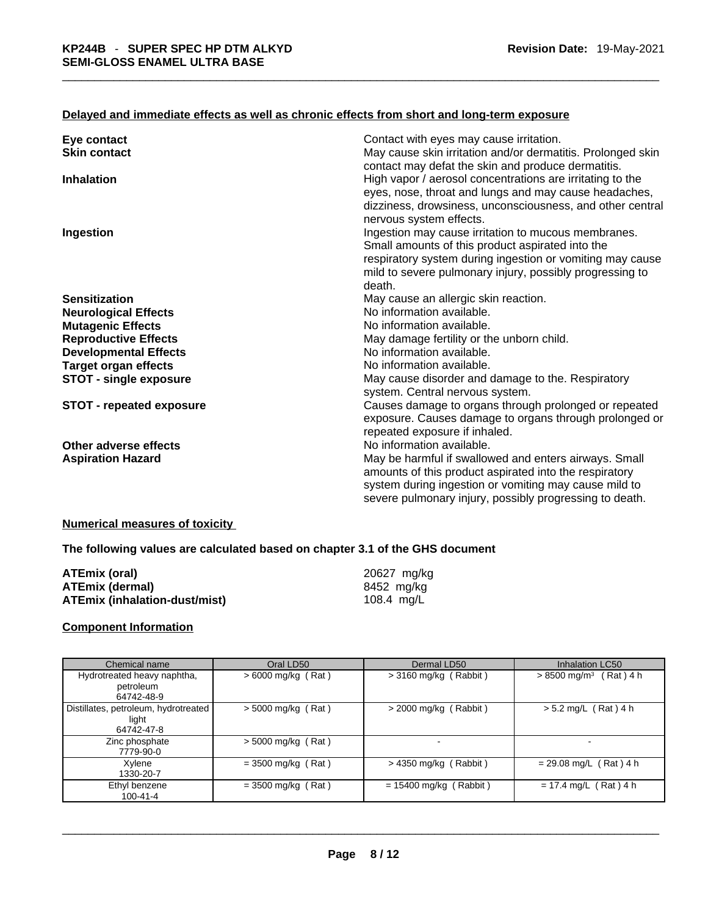## **Delayed and immediate effects as well as chronic effects from short and long-term exposure**

| Contact with eyes may cause irritation.<br>Eye contact                                                                                                                                                                                                          |  |
|-----------------------------------------------------------------------------------------------------------------------------------------------------------------------------------------------------------------------------------------------------------------|--|
| May cause skin irritation and/or dermatitis. Prolonged skin<br><b>Skin contact</b><br>contact may defat the skin and produce dermatitis.                                                                                                                        |  |
| High vapor / aerosol concentrations are irritating to the<br><b>Inhalation</b><br>eyes, nose, throat and lungs and may cause headaches,                                                                                                                         |  |
| dizziness, drowsiness, unconsciousness, and other central<br>nervous system effects.                                                                                                                                                                            |  |
| Ingestion may cause irritation to mucous membranes.<br>Ingestion<br>Small amounts of this product aspirated into the<br>respiratory system during ingestion or vomiting may cause<br>mild to severe pulmonary injury, possibly progressing to                   |  |
| death.                                                                                                                                                                                                                                                          |  |
| May cause an allergic skin reaction.<br><b>Sensitization</b>                                                                                                                                                                                                    |  |
| No information available.<br><b>Neurological Effects</b>                                                                                                                                                                                                        |  |
| No information available.<br><b>Mutagenic Effects</b>                                                                                                                                                                                                           |  |
| May damage fertility or the unborn child.<br><b>Reproductive Effects</b>                                                                                                                                                                                        |  |
| No information available.<br><b>Developmental Effects</b>                                                                                                                                                                                                       |  |
| No information available.<br><b>Target organ effects</b>                                                                                                                                                                                                        |  |
| May cause disorder and damage to the. Respiratory<br>STOT - single exposure<br>system. Central nervous system.                                                                                                                                                  |  |
| Causes damage to organs through prolonged or repeated<br><b>STOT - repeated exposure</b><br>exposure. Causes damage to organs through prolonged or<br>repeated exposure if inhaled.                                                                             |  |
| Other adverse effects<br>No information available.                                                                                                                                                                                                              |  |
| May be harmful if swallowed and enters airways. Small<br><b>Aspiration Hazard</b><br>amounts of this product aspirated into the respiratory<br>system during ingestion or vomiting may cause mild to<br>severe pulmonary injury, possibly progressing to death. |  |

#### **Numerical measures of toxicity**

#### **The following values are calculated based on chapter 3.1 of the GHS document**

| ATEmix (oral)                        | 20627 mg/kg |
|--------------------------------------|-------------|
| <b>ATEmix (dermal)</b>               | 8452 mg/kg  |
| <b>ATEmix (inhalation-dust/mist)</b> | 108.4 mg/L  |

### **Component Information**

| Chemical name                                 | Oral LD50            | Dermal LD50              | Inhalation LC50                      |
|-----------------------------------------------|----------------------|--------------------------|--------------------------------------|
| Hydrotreated heavy naphtha,                   | $> 6000$ mg/kg (Rat) | $>$ 3160 mg/kg (Rabbit)  | $> 8500$ mg/m <sup>3</sup> (Rat) 4 h |
| petroleum                                     |                      |                          |                                      |
| 64742-48-9                                    |                      |                          |                                      |
| Distillates, petroleum, hydrotreated<br>light | $>$ 5000 mg/kg (Rat) | $>$ 2000 mg/kg (Rabbit)  | $> 5.2$ mg/L (Rat) 4 h               |
| 64742-47-8                                    |                      |                          |                                      |
| Zinc phosphate<br>7779-90-0                   | $> 5000$ mg/kg (Rat) |                          |                                      |
| Xvlene<br>1330-20-7                           | $= 3500$ mg/kg (Rat) | $>$ 4350 mg/kg (Rabbit)  | $= 29.08$ mg/L (Rat) 4 h             |
| Ethyl benzene<br>$100 - 41 - 4$               | $= 3500$ mg/kg (Rat) | $= 15400$ mg/kg (Rabbit) | $= 17.4$ mg/L (Rat) 4 h              |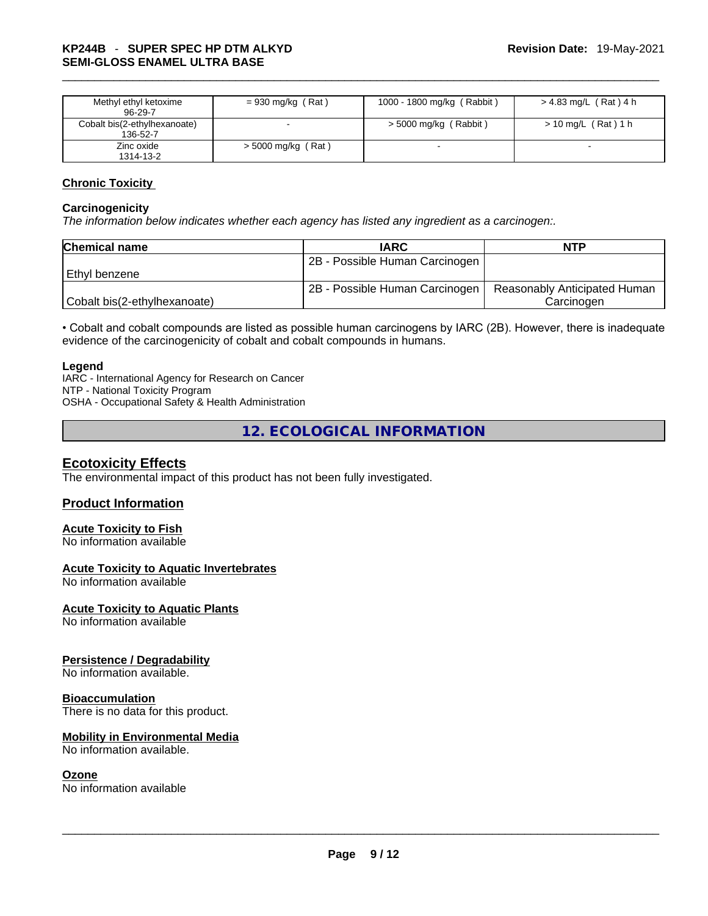| Methyl ethyl ketoxime<br>$96-29-7$       | $= 930$ mg/kg (Rat)  | 1000 - 1800 mg/kg (Rabbit) | > 4.83 mg/L (Rat) 4 h |
|------------------------------------------|----------------------|----------------------------|-----------------------|
| Cobalt bis(2-ethylhexanoate)<br>136-52-7 |                      | > 5000 mg/kg (Rabbit)      | > 10 mg/L (Rat) 1 h   |
| Zinc oxide<br>1314-13-2                  | $>$ 5000 mg/kg (Rat) |                            |                       |

#### **Chronic Toxicity**

#### **Carcinogenicity**

*The information below indicates whether each agency has listed any ingredient as a carcinogen:.* 

| <b>Chemical name</b>         | <b>IARC</b>                    | <b>NTP</b>                   |
|------------------------------|--------------------------------|------------------------------|
|                              | 2B - Possible Human Carcinogen |                              |
| l Ethvl benzene              |                                |                              |
|                              | 2B - Possible Human Carcinogen | Reasonably Anticipated Human |
| Cobalt bis(2-ethylhexanoate) |                                | Carcinogen                   |

• Cobalt and cobalt compounds are listed as possible human carcinogens by IARC (2B). However, there is inadequate evidence of the carcinogenicity of cobalt and cobalt compounds in humans.

#### **Legend**

IARC - International Agency for Research on Cancer NTP - National Toxicity Program OSHA - Occupational Safety & Health Administration

**12. ECOLOGICAL INFORMATION** 

### **Ecotoxicity Effects**

The environmental impact of this product has not been fully investigated.

### **Product Information**

## **Acute Toxicity to Fish**

No information available

### **Acute Toxicity to Aquatic Invertebrates**

No information available

#### **Acute Toxicity to Aquatic Plants**

No information available

#### **Persistence / Degradability**

No information available.

#### **Bioaccumulation**

There is no data for this product.

#### **Mobility in Environmental Media**

#### **Ozone**

No information available. \_\_\_\_\_\_\_\_\_\_\_\_\_\_\_\_\_\_\_\_\_\_\_\_\_\_\_\_\_\_\_\_\_\_\_\_\_\_\_\_\_\_\_\_\_\_\_\_\_\_\_\_\_\_\_\_\_\_\_\_\_\_\_\_\_\_\_\_\_\_\_\_\_\_\_\_\_\_\_\_\_\_\_\_\_\_\_\_\_\_\_\_\_ No information available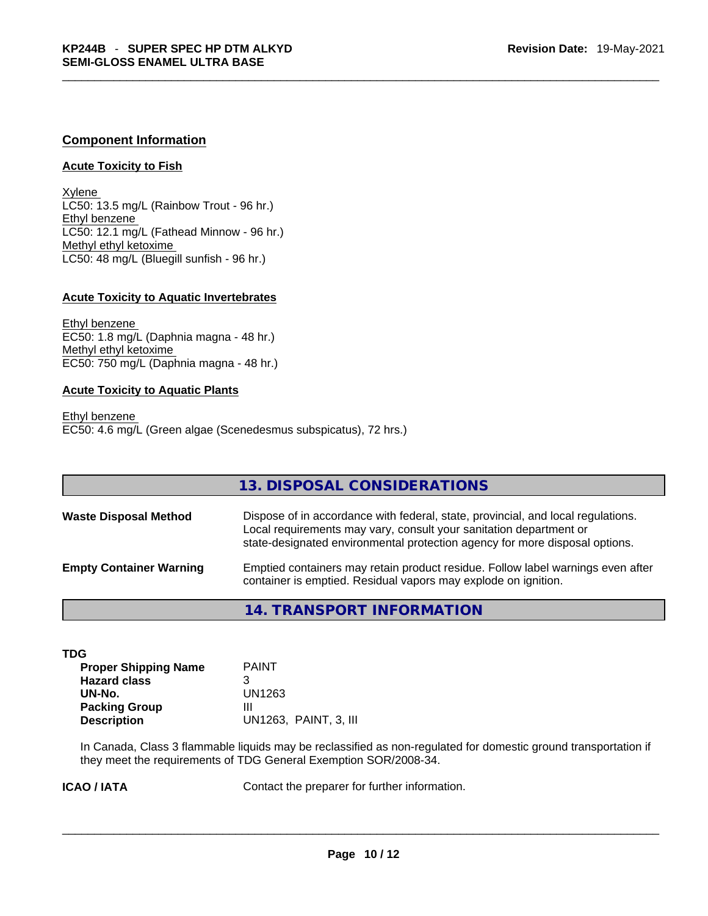### **Component Information**

#### **Acute Toxicity to Fish**

Xylene LC50: 13.5 mg/L (Rainbow Trout - 96 hr.) Ethyl benzene LC50: 12.1 mg/L (Fathead Minnow - 96 hr.) Methyl ethyl ketoxime LC50: 48 mg/L (Bluegill sunfish - 96 hr.)

#### **Acute Toxicity to Aquatic Invertebrates**

Ethyl benzene EC50: 1.8 mg/L (Daphnia magna - 48 hr.) Methyl ethyl ketoxime EC50: 750 mg/L (Daphnia magna - 48 hr.)

#### **Acute Toxicity to Aquatic Plants**

Ethyl benzene EC50: 4.6 mg/L (Green algae (Scenedesmus subspicatus), 72 hrs.)

|                                | 13. DISPOSAL CONSIDERATIONS                                                                                                                                                                                                           |
|--------------------------------|---------------------------------------------------------------------------------------------------------------------------------------------------------------------------------------------------------------------------------------|
| <b>Waste Disposal Method</b>   | Dispose of in accordance with federal, state, provincial, and local regulations.<br>Local requirements may vary, consult your sanitation department or<br>state-designated environmental protection agency for more disposal options. |
| <b>Empty Container Warning</b> | Emptied containers may retain product residue. Follow label warnings even after<br>container is emptied. Residual vapors may explode on ignition.                                                                                     |

**14. TRANSPORT INFORMATION** 

| TDG                                         |  |
|---------------------------------------------|--|
| <b>PAINT</b><br><b>Proper Shipping Name</b> |  |
| <b>Hazard class</b><br>3                    |  |
| UN1263<br>UN-No.                            |  |
| <b>Packing Group</b><br>Ш                   |  |
| <b>Description</b><br>UN1263. PAINT, 3. III |  |

In Canada, Class 3 flammable liquids may be reclassified as non-regulated for domestic ground transportation if they meet the requirements of TDG General Exemption SOR/2008-34.

**ICAO / IATA** Contact the preparer for further information. \_\_\_\_\_\_\_\_\_\_\_\_\_\_\_\_\_\_\_\_\_\_\_\_\_\_\_\_\_\_\_\_\_\_\_\_\_\_\_\_\_\_\_\_\_\_\_\_\_\_\_\_\_\_\_\_\_\_\_\_\_\_\_\_\_\_\_\_\_\_\_\_\_\_\_\_\_\_\_\_\_\_\_\_\_\_\_\_\_\_\_\_\_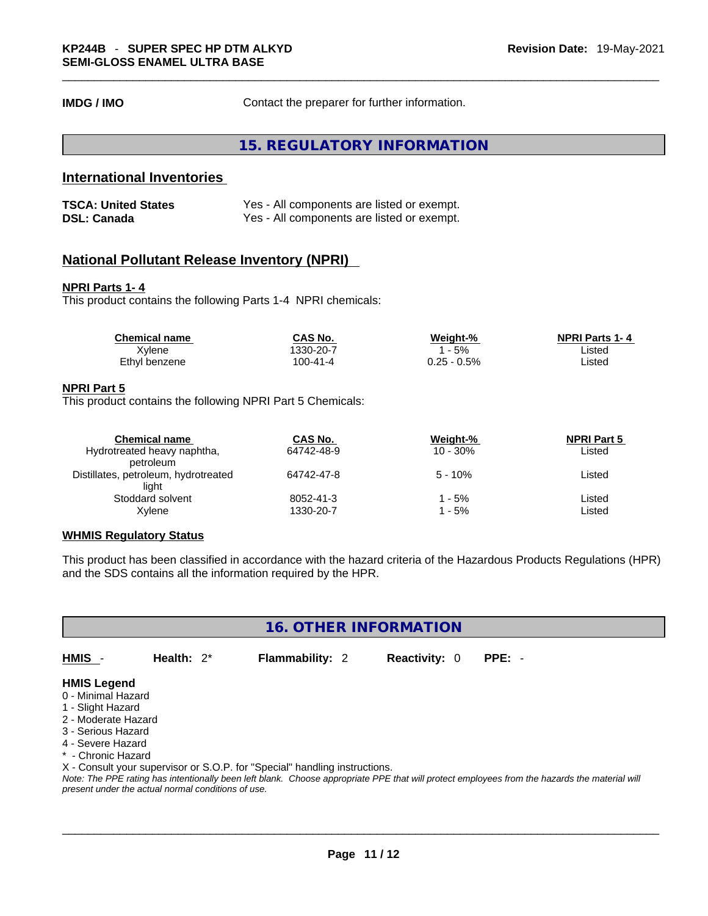**IMDG / IMO Contact the preparer for further information.** 

**15. REGULATORY INFORMATION** 

## **International Inventories**

| <b>TSCA: United States</b> | Yes - All components are listed or exempt. |
|----------------------------|--------------------------------------------|
| <b>DSL: Canada</b>         | Yes - All components are listed or exempt. |

### **National Pollutant Release Inventory (NPRI)**

#### **NPRI Parts 1- 4**

This product contains the following Parts 1-4 NPRI chemicals:

| <b>Chemical name</b> | <b>CAS No.</b> | Weight-%    | <b>NPRI Parts 1-4</b> |  |
|----------------------|----------------|-------------|-----------------------|--|
| Xvlene               | 1330-20-7      | 5%          | Listed                |  |
| Ethyl benzene        | 100-41-4       | 0.25 - 0.5% | Listed                |  |

#### **NPRI Part 5**

This product contains the following NPRI Part 5 Chemicals:

| <b>Chemical name</b>                 | CAS No.    | Weight-%    | <b>NPRI Part 5</b> |  |
|--------------------------------------|------------|-------------|--------------------|--|
| Hydrotreated heavy naphtha,          | 64742-48-9 | $10 - 30\%$ | Listed             |  |
| petroleum                            |            |             |                    |  |
| Distillates, petroleum, hydrotreated | 64742-47-8 | $5 - 10\%$  | Listed             |  |
| light                                |            |             |                    |  |
| Stoddard solvent                     | 8052-41-3  | l - 5%      | Listed             |  |
| Xvlene                               | 1330-20-7  | - 5%        | Listed             |  |
|                                      |            |             |                    |  |

#### **WHMIS Regulatory Status**

This product has been classified in accordance with the hazard criteria of the Hazardous Products Regulations (HPR) and the SDS contains all the information required by the HPR.

**16. OTHER INFORMATION** 

**HMIS** - **Health:** 2\* **Flammability:** 2 **Reactivity:** 0 **PPE:** -

#### **HMIS Legend**

- 0 Minimal Hazard
- 1 Slight Hazard
- 2 Moderate Hazard
- 3 Serious Hazard
- 4 Severe Hazard
- \* Chronic Hazard

X - Consult your supervisor or S.O.P. for "Special" handling instructions.

Note: The PPE rating has intentionally been left blank. Choose appropriate PPE that will protect employees from the hazards the material will *present under the actual normal conditions of use.*